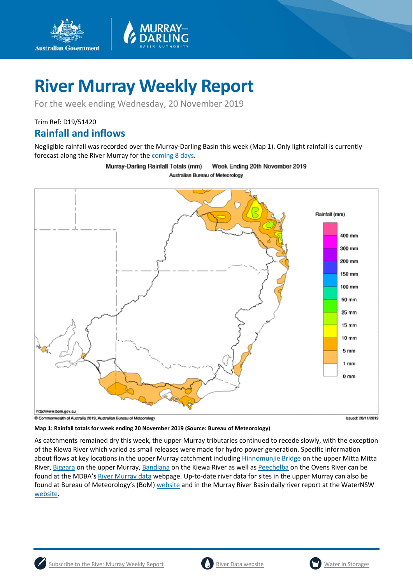

For the week ending Wednesday, 20 November 2019

Trim Ref: D19/51420

**Australian Government** 

### **Rainfall and inflows**

Negligible rainfall was recorded over the Murray-Darling Basin this week (Map 1). Only light rainfall is currently forecast along the River Murray for th[e coming 8 days.](http://www.bom.gov.au/jsp/watl/rainfall/pme.jsp)

> Murray-Darling Rainfall Totals (mm) Week Ending 20th November 2019 Australian Bureau of Meteorology



**Map 1: Rainfall totals for week ending 20 November 2019 (Source: Bureau of Meteorology)**

As catchments remained dry this week, the upper Murray tributaries continued to recede slowly, with the exception of the Kiewa River which varied as small releases were made for hydro power generation. Specific information about flows at key locations in the upper Murray catchment including **Hinnomunjie Bridge** on the upper Mitta Mitta River[, Biggara](https://riverdata.mdba.gov.au/biggara) on the upper Murray, [Bandiana](https://riverdata.mdba.gov.au/bandiana) on the Kiewa River as well as [Peechelba](https://riverdata.mdba.gov.au/peechelba) on the Ovens River can be found at the MDBA's [River Murray data](https://riverdata.mdba.gov.au/system-view) webpage. Up-to-date river data for sites in the upper Murray can also be found at Bureau of Meteorology's (BoM) [website](http://www.bom.gov.au/cgi-bin/wrap_fwo.pl?IDV60151.html) and in the Murray River Basin daily river report at the WaterNSW [website.](https://realtimedata.waternsw.com.au/water.stm)



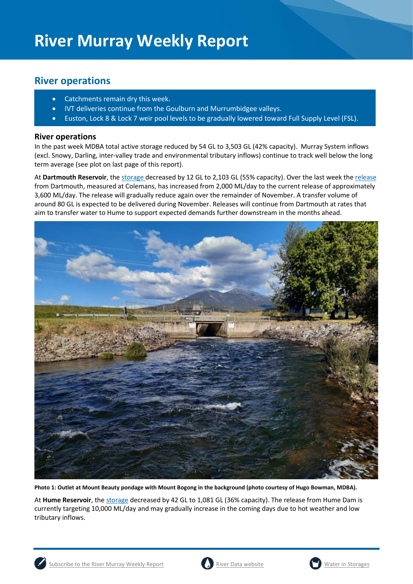## **River operations**

- Catchments remain dry this week.
- IVT deliveries continue from the Goulburn and Murrumbidgee valleys.
- Euston, Lock 8 & Lock 7 weir pool levels to be gradually lowered toward Full Supply Level (FSL).

### **River operations**

In the past week MDBA total active storage reduced by 54 GL to 3,503 GL (42% capacity). Murray System inflows (excl. Snowy, Darling, inter-valley trade and environmental tributary inflows) continue to track well below the long term average (see plot on last page of this report).

At Dartmouth Reservoir, the [storage](https://riverdata.mdba.gov.au/dartmouth-dam) decreased by 12 GL to 2,103 GL (55% capacity). Over the last week the [release](https://riverdata.mdba.gov.au/colemans) from Dartmouth, measured at Colemans, has increased from 2,000 ML/day to the current release of approximately 3,600 ML/day. The release will gradually reduce again over the remainder of November. A transfer volume of around 80 GL is expected to be delivered during November. Releases will continue from Dartmouth at rates that aim to transfer water to Hume to support expected demands further downstream in the months ahead.



**Photo 1: Outlet at Mount Beauty pondage with Mount Bogong in the background (photo courtesy of Hugo Bowman, MDBA).**

At **Hume Reservoir**, the storage decreased by 42 GL to 1,081 GL (36% capacity). The release from Hume Dam is currently targeting 10,000 ML/day and may gradually increase in the coming days due to hot weather and low tributary inflows.





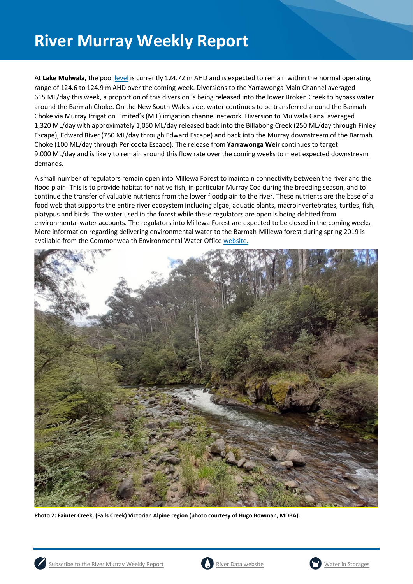At **Lake Mulwala,** the pool [level](https://riverdata.mdba.gov.au/yarrawonga-weir-upstream) is currently 124.72 m AHD and is expected to remain within the normal operating range of 124.6 to 124.9 m AHD over the coming week. Diversions to the Yarrawonga Main Channel averaged 615 ML/day this week, a proportion of this diversion is being released into the lower Broken Creek to bypass water around the Barmah Choke. On the New South Wales side, water continues to be transferred around the Barmah Choke via Murray Irrigation Limited's (MIL) irrigation channel network. Diversion to Mulwala Canal averaged 1,320 ML/day with approximately 1,050 ML/day released back into the Billabong Creek (250 ML/day through Finley Escape), Edward River (750 ML/day through Edward Escape) and back into the Murray downstream of the Barmah Choke (100 ML/day through Pericoota Escape). The release from **Yarrawonga Weir** continues to target 9,000 ML/day and is likely to remain around this flow rate over the coming weeks to meet expected downstream demands.

A small number of regulators remain open into Millewa Forest to maintain connectivity between the river and the flood plain. This is to provide habitat for native fish, in particular Murray Cod during the breeding season, and to continue the transfer of valuable nutrients from the lower floodplain to the river. These nutrients are the base of a food web that supports the entire river ecosystem including algae, aquatic plants, macroinvertebrates, turtles, fish, platypus and birds. The water used in the forest while these regulators are open is being debited from environmental water accounts. The regulators into Millewa Forest are expected to be closed in the coming weeks. More information regarding delivering environmental water to the Barmah-Millewa forest during spring 2019 is available from the Commonwealth Environmental Water Office [website.](https://www.environment.gov.au/water/cewo/media-release/worlds-largest-river-red-gum-forest)



**Photo 2: Fainter Creek, (Falls Creek) Victorian Alpine region (photo courtesy of Hugo Bowman, MDBA).**





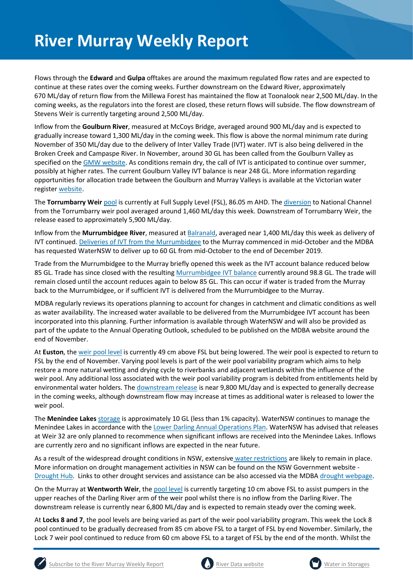Flows through the **Edward** and **Gulpa** offtakes are around the maximum regulated flow rates and are expected to continue at these rates over the coming weeks. Further downstream on the Edward River, approximately 670 ML/day of return flow from the Millewa Forest has maintained the flow at Toonalook near 2,500 ML/day. In the coming weeks, as the regulators into the forest are closed, these return flows will subside. The flow downstream of Stevens Weir is currently targeting around 2,500 ML/day.

Inflow from the **Goulburn River**, measured at McCoys Bridge, averaged around 900 ML/day and is expected to gradually increase toward 1,300 ML/day in the coming week. This flow is above the normal minimum rate during November of 350 ML/day due to the delivery of Inter Valley Trade (IVT) water. IVT is also being delivered in the Broken Creek and Campaspe River. In November, around 30 GL has been called from the Goulburn Valley as specified on the [GMW website.](https://www.g-mwater.com.au/water-resources/managing-water-storages) As conditions remain dry, the call of IVT is anticipated to continue over summer, possibly at higher rates. The current Goulburn Valley IVT balance is near 248 GL. More information regarding opportunities for allocation trade between the Goulburn and Murray Valleys is available at the Victorian water register [website.](http://waterregister.vic.gov.au/water-trading/allocation-trading#AllocationTradeOpportunities)

The **Torrumbarry Weir** [pool](https://riverdata.mdba.gov.au/torrumbarry-weir-lock-26) is currently at Full Supply Level (FSL), 86.05 m AHD. Th[e diversion](https://riverdata.mdba.gov.au/national-channel-ds-torrumbarry-headworks) to National Channel from the Torrumbarry weir pool averaged around 1,460 ML/day this week. Downstream of Torrumbarry Weir, the release eased to approximately 5,900 ML/day.

Inflow from the **Murrumbidgee River**, measured a[t Balranald,](https://riverdata.mdba.gov.au/balranald-weir-downstream) averaged near 1,400 ML/day this week as delivery of IVT continued. [Deliveries of IVT from the Murrumbidgee](https://www.waternsw.com.au/supply/regional-nsw/operations-updates) to the Murray commenced in mid-October and the MDBA has requested WaterNSW to deliver up to 60 GL from mid-October to the end of December 2019.

Trade from the Murrumbidgee to the Murray briefly opened this week as the IVT account balance reduced below 85 GL. Trade has since closed with the resulting [Murrumbidgee IVT balance](https://www.waternsw.com.au/customer-service/ordering-trading-and-pricing/trading/murrumbidgee) currently around 98.8 GL. The trade will remain closed until the account reduces again to below 85 GL. This can occur if water is traded from the Murray back to the Murrumbidgee, or if sufficient IVT is delivered from the Murrumbidgee to the Murray.

MDBA regularly reviews its operations planning to account for changes in catchment and climatic conditions as well as water availability. The increased water available to be delivered from the Murrumbidgee IVT account has been incorporated into this planning. Further information is available through WaterNSW and will also be provided as part of the update to the Annual Operating Outlook, scheduled to be published on the MDBA website around the end of November.

At **Euston**, the [weir pool level](https://riverdata.mdba.gov.au/euston-weir-upstream) is currently 49 cm above FSL but being lowered. The weir pool is expected to return to FSL by the end of November. Varying pool levels is part of the weir pool variability program which aims to help restore a more natural wetting and drying cycle to riverbanks and adjacent wetlands within the influence of the weir pool. Any additional loss associated with the weir pool variability program is debited from entitlements held by environmental water holders. The [downstream release](https://riverdata.mdba.gov.au/euston-weir-downstream) is near 9,800 ML/day and is expected to generally decrease in the coming weeks, although downstream flow may increase at times as additional water is released to lower the weir pool.

The **Menindee Lakes** storage is approximately 10 GL (less than 1% capacity). WaterNSW continues to manage the Menindee Lakes in accordance with the [Lower Darling Annual Operations Plan.](https://www.waternsw.com.au/supply/regional-nsw/operations) WaterNSW has advised that releases at Weir 32 are only planned to recommence when significant inflows are received into the Menindee Lakes. Inflows are currently zero and no significant inflows are expected in the near future.

As a result of the widespread drought conditions in NSW, extensive [water restrictions](https://www.waternsw.com.au/about/newsroom/2018/waternsw-confirms-restrictions-for-lower-darling-customers) are likely to remain in place. More information on drought management activities in NSW can be found on the NSW Government website - [Drought Hub.](https://www.dpi.nsw.gov.au/climate-and-emergencies/droughthub) Links to other drought services and assistance can be also accessed via the MDB[A drought webpage.](https://www.mdba.gov.au/managing-water/drought-murray-darling-basin)

On the Murray at **Wentworth Weir**, th[e pool level](https://riverdata.mdba.gov.au/wentworth-weir-lock-10) is currently targeting 10 cm above FSL to assist pumpers in the upper reaches of the Darling River arm of the weir pool whilst there is no inflow from the Darling River. The downstream release is currently near 6,800 ML/day and is expected to remain steady over the coming week.

At **Locks 8 and 7**, the pool levels are being varied as part of the weir pool variability program. This week the Lock 8 pool continued to be gradually decreased from 85 cm above FSL to a target of FSL by end November. Similarly, the Lock 7 weir pool continued to reduce from 60 cm above FSL to a target of FSL by the end of the month. Whilst the





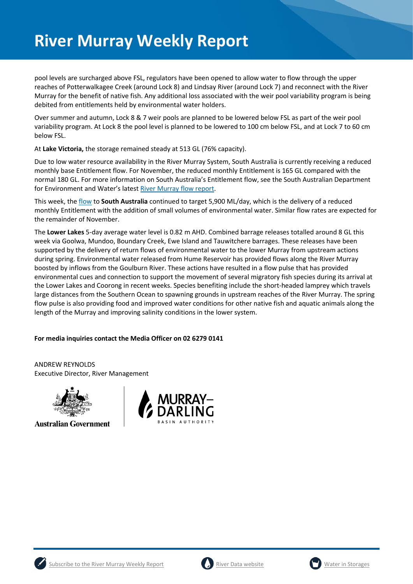pool levels are surcharged above FSL, regulators have been opened to allow water to flow through the upper reaches of Potterwalkagee Creek (around Lock 8) and Lindsay River (around Lock 7) and reconnect with the River Murray for the benefit of native fish. Any additional loss associated with the weir pool variability program is being debited from entitlements held by environmental water holders.

Over summer and autumn, Lock 8 & 7 weir pools are planned to be lowered below FSL as part of the weir pool variability program. At Lock 8 the pool level is planned to be lowered to 100 cm below FSL, and at Lock 7 to 60 cm below FSL.

At **Lake Victoria,** the storage remained steady at 513 GL (76% capacity).

Due to low water resource availability in the River Murray System, South Australia is currently receiving a reduced monthly base Entitlement flow. For November, the reduced monthly Entitlement is 165 GL compared with the normal 180 GL. For more information on South Australia's Entitlement flow, see the South Australian Department for Environment and Water's lates[t River Murray flow report.](https://www.waterconnect.sa.gov.au/River-Murray/SitePages/2019%20Flow%20Reports.aspx)

This week, th[e flow](https://riverdata.mdba.gov.au/flow-south-australia-calculated) to **South Australia** continued to target 5,900 ML/day, which is the delivery of a reduced monthly Entitlement with the addition of small volumes of environmental water. Similar flow rates are expected for the remainder of November.

The **Lower Lakes** 5-day average water level is 0.82 m AHD. Combined barrage releases totalled around 8 GL this week via Goolwa, Mundoo, Boundary Creek, Ewe Island and Tauwitchere barrages. These releases have been supported by the delivery of return flows of environmental water to the lower Murray from upstream actions during spring. Environmental water released from Hume Reservoir has provided flows along the River Murray boosted by inflows from the Goulburn River. These actions have resulted in a flow pulse that has provided environmental cues and connection to support the movement of several migratory fish species during its arrival at the Lower Lakes and Coorong in recent weeks. Species benefiting include the short-headed lamprey which travels large distances from the Southern Ocean to spawning grounds in upstream reaches of the River Murray. The spring flow pulse is also providing food and improved water conditions for other native fish and aquatic animals along the length of the Murray and improving salinity conditions in the lower system.

### **For media inquiries contact the Media Officer on 02 6279 0141**

ANDREW REYNOLDS Executive Director, River Management



**Australian Government** 







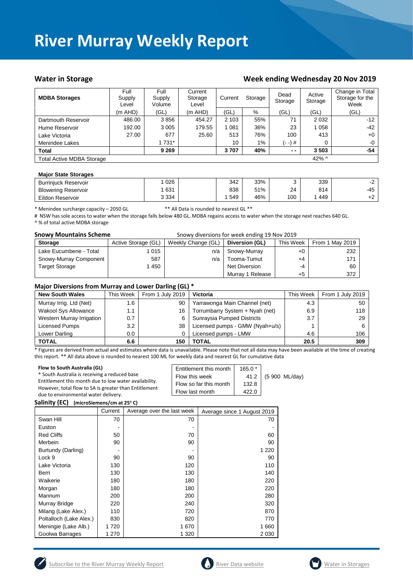### Water in Storage Water in Storage Week ending Wednesday 20 Nov 2019

| <b>MDBA Storages</b>             | Full<br>Supply<br>Level | Full<br>Supply<br>Volume | Current<br>Storage<br>Level | Current<br>Storage |     | Dead<br>Storage | Active<br>Storage | Change in Total<br>Storage for the<br>Week |
|----------------------------------|-------------------------|--------------------------|-----------------------------|--------------------|-----|-----------------|-------------------|--------------------------------------------|
|                                  | $(m$ AHD)               | (GL)                     | $(m$ AHD)                   | (GL)               | %   | (GL)            | (GL)              | (GL)                                       |
| Dartmouth Reservoir              | 486.00                  | 3856                     | 454.27                      | 2 1 0 3            | 55% | 71              | 2 0 3 2           | $-12$                                      |
| Hume Reservoir                   | 192.00                  | 3 0 0 5                  | 179.55                      | 081                | 36% | 23              | 1 0 5 8           | -42                                        |
| Lake Victoria                    | 27.00                   | 677                      | 25.60                       | 513                | 76% | 100             | 413               | $+0$                                       |
| Menindee Lakes                   |                         | 1 731*                   |                             | 10                 | 1%  | (- -) #         | 0                 | $-0$                                       |
| <b>Total</b>                     |                         | 9 2 6 9                  |                             | 3707               | 40% | $ -$            | 3503              | -54                                        |
| <b>Total Active MDBA Storage</b> |                         |                          |                             |                    |     |                 | 42% $\wedge$      |                                            |

#### **Major State Storages**

| <b>Burriniuck Reservoir</b> | 026     | 342 | 33% |     | 339 |       |
|-----------------------------|---------|-----|-----|-----|-----|-------|
| <b>Blowering Reservoir</b>  | 631     | 838 | 51% | 24  | 814 | $-45$ |
| Eildon Reservoir            | 3 3 3 4 | 549 | 46% | 100 | 449 | ╶     |

\* Menindee surcharge capacity – 2050 GL \*\* All Data is rounded to nearest GL \*\*

# NSW has sole access to water when the storage falls below 480 GL. MDBA regains access to water when the storage next reaches 640 GL. ^ % of total active MDBA storage

| <b>Snowy Mountains Scheme</b> | Snowy diversions for week ending 19 Nov 2019 |                    |                  |           |                 |
|-------------------------------|----------------------------------------------|--------------------|------------------|-----------|-----------------|
| <b>Storage</b>                | Active Storage (GL)                          | Weekly Change (GL) | Diversion (GL)   | This Week | From 1 May 2019 |
| Lake Eucumbene - Total        | 1 015                                        | n/a                | Snowy-Murray     | +0        | 232             |
| Snowy-Murray Component        | 587                                          | n/a                | Tooma-Tumut      | $+4$      | 171             |
| <b>Target Storage</b>         | l 450                                        |                    | Net Diversion    | -4        | 60              |
|                               |                                              |                    | Murray 1 Release | $+5$      | 372             |

#### **Major Diversions from Murray and Lower Darling (GL) \***

| <b>New South Wales</b>    | This Week | From 1 July 2019 | <b>Victoria</b>                 | This Week | From 1 July 2019 |
|---------------------------|-----------|------------------|---------------------------------|-----------|------------------|
| Murray Irrig. Ltd (Net)   | 1.6       | 90               | Yarrawonga Main Channel (net)   | 4.3       | 50               |
| Wakool Sys Allowance      | 1.1       | 16               | Torrumbarry System + Nyah (net) | 6.9       | 118              |
| Western Murray Irrigation | 0.7       | 6                | Sunraysia Pumped Districts      | 3.7       | 29               |
| Licensed Pumps            | 3.2       | 38               | Licensed pumps - GMW (Nyah+u/s) |           |                  |
| Lower Darling             | $0.0\,$   |                  | Licensed pumps - LMW            | 4.6       | 106              |
| <b>TOTAL</b>              | 6.6       | 150              | TOTAL                           | 20.5      | 309              |

\* Figures are derived from actual and estimates where data is unavailable. Please note that not all data may have been available at the time of creating this report. \*\* All data above is rounded to nearest 100 ML for weekly data and nearest GL for cumulative data

| Flow to South Australia (GL)                                                                                   | Entitlement this month | $165.0*$ |                     |
|----------------------------------------------------------------------------------------------------------------|------------------------|----------|---------------------|
| * South Australia is receiving a reduced base                                                                  | Flow this week         |          | 41.2 (5 900 ML/day) |
| Entitlement this month due to low water availability.<br>However, total flow to SA is greater than Entitlement | Flow so far this month | 132.8    |                     |
| due to environmental water delivery.                                                                           | Flow last month        | 422.0    |                     |
|                                                                                                                |                        |          |                     |

**Salinity (EC) (microSiemens/cm at 25o C)**

|                         | Current | Average over the last week | Average since 1 August 2019 |
|-------------------------|---------|----------------------------|-----------------------------|
| Swan Hill               | 70      | 70                         | 70                          |
| Euston                  |         |                            |                             |
| <b>Red Cliffs</b>       | 50      | 70                         | 60                          |
| Merbein                 | 90      | 90                         | 90                          |
| Burtundy (Darling)      |         |                            | 1 2 2 0                     |
| Lock 9                  | 90      | 90                         | 90                          |
| Lake Victoria           | 130     | 120                        | 110                         |
| Berri                   | 130     | 130                        | 140                         |
| Waikerie                | 180     | 180                        | 220                         |
| Morgan                  | 180     | 180                        | 220                         |
| Mannum                  | 200     | 200                        | 280                         |
| Murray Bridge           | 220     | 240                        | 320                         |
| Milang (Lake Alex.)     | 110     | 720                        | 870                         |
| Poltalloch (Lake Alex.) | 830     | 820                        | 770                         |
| Meningie (Lake Alb.)    | 1720    | 1670                       | 1660                        |
| Goolwa Barrages         | 1 270   | 1 3 2 0                    | 2 0 3 0                     |





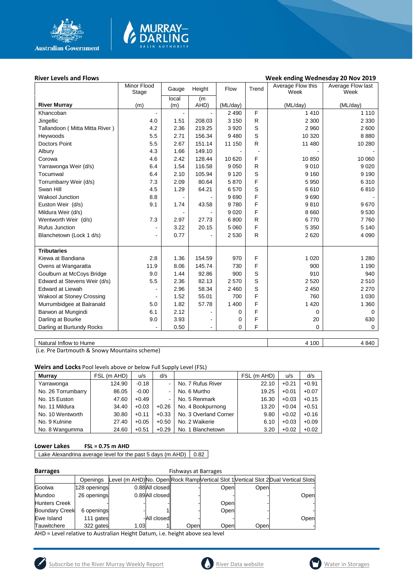

#### **River Levels and Flows Week ending Wednesday 20 Nov 2019** Minor Flood nor Flood Gauge Height Flow Trend Average Flow this Week Average Flow last Week **River Murray** (m) local (m) (m<br>AHD)  $(ML/day)$   $(ML/day)$   $(ML/day)$   $(ML/day)$ Khancoban - - - 2 490 F 1 410 1 110 Jingellic | 4.0 | 1.51 | 208.03 | 3 150 | R | 2 2300 | 2 330 Tallandoon ( Mitta Mitta River ) | 4.2 | 2.36 | 219.25 | 3 920 | S | 200 | 2600 | 2600 Heywoods | 5.5 | 2.71 | 156.34 | 9 480 | S | 10 320 | 8 880 Doctors Point | 5.5 | 2.67 | 151.14 | 11 150 | R | 11 480 | 10 280 Albury | 4.3 | 1.66 | 149.10 | - | - | -Corowa | 4.6 | 2.42 | 128.44 | 10 620 | F | 10 850 | 10 060 Yarrawonga Weir (d/s) 6.4 1.54 116.58 9 050 R 9 010 9 020 Tocumwal | 6.4 | 2.10 | 105.94 | 9 120 | S | 9 160 | 9 190 Torrumbarry Weir (d/s) 7.3 2.09 80.64 5 870 F 5 950 6 310 Swan Hill | 4.5 | 1.29 | 64.21 | 6 570 | S | 6 610 | 6 810 Wakool Junction | 8.8 | - | - | 9 690 | F | 9 690 | -Euston Weir (d/s) 9.1 1.74 43.58 9 780 F 9 810 9 670 Mildura Weir (d/s) - | 9 020 | F | 8 660 | 9 530 Wentworth Weir (d/s) | 1 7.3 | 2.97 | 27.73 | 6 800 | R | 6 770 | 7760 Rufus Junction | - | 3.22 | 20.15 | 5 060 | F | 5 350 | 5 140 Blanchetown (Lock 1 d/s)  $\begin{vmatrix} 1 & 0.77 & -1 & 2530 & R & 2620 \end{vmatrix}$  4 090 **Tributaries** Kiewa at Bandiana 2.8 1.36 154.59 970 F 1 020 1 280 Ovens at Wangaratta 11.9 8.06 145.74 730 F 900 1 190 Goulburn at McCoys Bridge | 9.0 | 1.44 | 92.86 | 900 | S | 910 | 940 Edward at Stevens Weir (d/s) | 5.5 | 2.36 | 82.13 | 2 570 | S | 2 520 | 2 510 Edward at Liewah - 2.96 58.34 2 460 S 2 450 2 270 Wakool at Stoney Crossing | Cassic Lotter | 1.52 | 55.01 | 700 | F | 760 | 1030 Murrumbidgee at Balranald | 5.0 | 1.82 | 57.78 | 1.400 | F | 1.420 | 1360 Barwon at Mungindi 6.1 2.12 - 0 F 0 0 Darling at Bourke 9.0 3.93 - 0 F 20 630 Darling at Burtundy Rocks  $\begin{vmatrix} - & 0.50 & - & 0 \\ 0 & - & 0 & 0 \end{vmatrix}$  F 0 0 0

MURRAY-

Natural Inflow to Hume 4 840

(i.e. Pre Dartmouth & Snowy Mountains scheme)

**Weirs and Locks** Pool levels above or below Full Supply Level (FSL)

| <b>Murrav</b>      | FSL (m AHD) | u/s     | d/s                      |                       | FSL (m AHD) | u/s     | d/s     |
|--------------------|-------------|---------|--------------------------|-----------------------|-------------|---------|---------|
| Yarrawonga         | 124.90      | $-0.18$ | $\sim$                   | No. 7 Rufus River     | 22.10       | $+0.21$ | $+0.91$ |
| No. 26 Torrumbarry | 86.05       | $-0.00$ | ۰.                       | No. 6 Murtho          | 19.25       | $+0.01$ | $+0.07$ |
| No. 15 Euston      | 47.60       | $+0.49$ | $\overline{\phantom{0}}$ | No. 5 Renmark         | 16.30       | $+0.03$ | $+0.15$ |
| No. 11 Mildura     | 34.40       | $+0.03$ | $+0.26$                  | No. 4 Bookpurnong     | 13.20       | $+0.04$ | $+0.51$ |
| No. 10 Wentworth   | 30.80       | $+0.11$ | $+0.33$                  | No. 3 Overland Corner | 9.80        | $+0.02$ | $+0.16$ |
| No. 9 Kulnine      | 27.40       | $+0.05$ | $+0.50$                  | No. 2 Waikerie        | 6.10        | $+0.03$ | $+0.09$ |
| No. 8 Wangumma     | 24.60       | $+0.51$ | $+0.29$                  | No. 1 Blanchetown     | 3.20        | $+0.02$ | $+0.02$ |

#### **Lower Lakes FSL = 0.75 m AHD**

Lake Alexandrina average level for the past 5 days (m AHD)  $\vert$  0.82

| <b>Barrages</b>       | <b>Fishways at Barrages</b> |      |                |      |      |      |                                                                                     |
|-----------------------|-----------------------------|------|----------------|------|------|------|-------------------------------------------------------------------------------------|
|                       | Openings                    |      |                |      |      |      | Level (m AHD)No. Open Rock Ramp Vertical Slot 1 Vertical Slot 2 Dual Vertical Slots |
| Goolwa                | 128 openings                |      | 0.88All closed |      | Open | Open |                                                                                     |
| Mundoo                | 26 openings                 |      | 0.89All closed |      |      |      | Open                                                                                |
| <b>Hunters Creek</b>  |                             |      |                |      | Open |      |                                                                                     |
| <b>Boundary Creek</b> | 6 openings                  |      |                |      | Open |      |                                                                                     |
| Ewe Island            | 111 gates                   |      | -All closed    |      |      |      | Open                                                                                |
| Tauwitchere           | 322 gates                   | 1.03 |                | Open | Open | Open |                                                                                     |

AHD = Level relative to Australian Height Datum, i.e. height above sea level